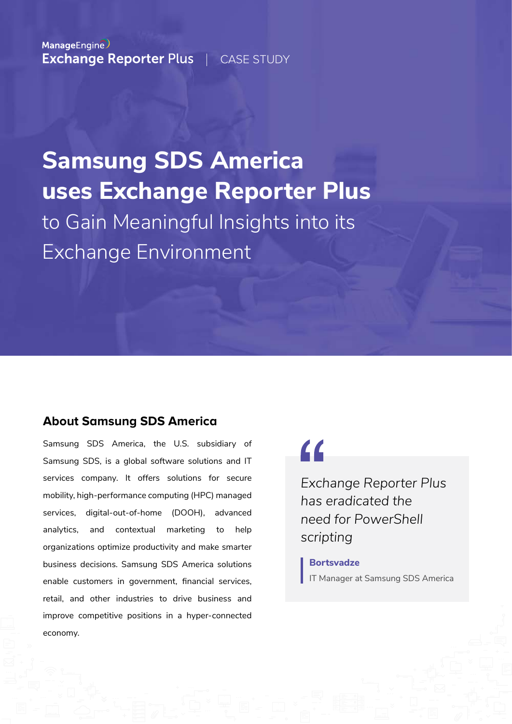ManageEngine **Exchange Reporter Plus | CASE STUDY** 

# **Samsung SDS America uses Exchange Reporter Plus** to gain meaningful insights into its Exchange environment

### **About Samsung SDS America**

Samsung SDS America, the U.S. subsidiary of Samsung SDS, is a global software solutions and IT services company. It offers solutions for secure mobility, high-performance computing (HPC) managed services, digital-out-of-home (DOOH), advanced analytics, and contextual marketing to help organizations optimize productivity and make smarter business decisions. Samsung SDS America solutions enable customers in government, financial services, retail, and other industries to drive business and improve competitive positions in a hyper-connected economy.

# $\epsilon$

*Exchange Reporter Plus has eradicated the need for PowerShell scripting*

**Bortsvadze** IT Manager at Samsung SDS America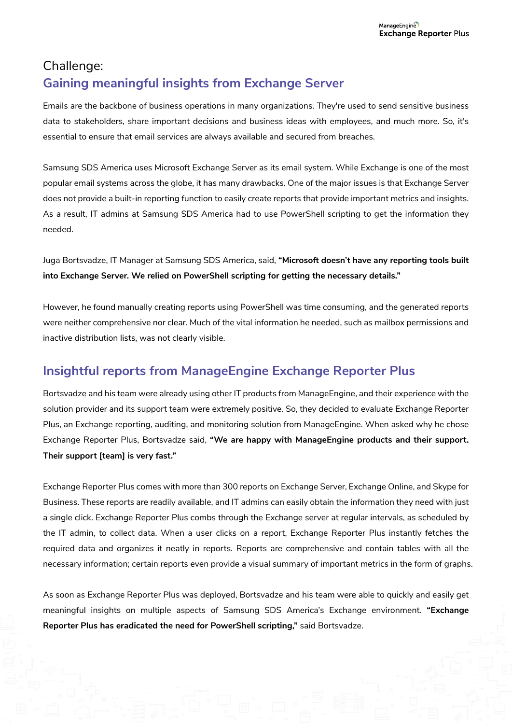# Challenge: **Gaining meaningful insights from Exchange Server**

Emails are the backbone of business operations in many organizations. They're used to send sensitive business data to stakeholders, share important decisions and business ideas with employees, and much more. So, it's essential to ensure that email services are always available and secured from breaches.

Samsung SDS America uses Microsoft Exchange Server as its email system. While Exchange is one of the most popular email systems across the globe, it has many drawbacks. One of the major issues is that Exchange Server does not provide a built-in reporting function to easily create reports that provide important metrics and insights. As a result, IT admins at Samsung SDS America had to use PowerShell scripting to get the information they needed.

Juga Bortsvadze, IT Manager at Samsung SDS America, said, **"Microsoft doesn't have any reporting tools built into Exchange Server. We relied on PowerShell scripting for getting the necessary details."**

However, he found manually creating reports using PowerShell was time consuming, and the generated reports were neither comprehensive nor clear. Much of the vital information he needed, such as mailbox permissions and inactive distribution lists, was not clearly visible.

## **Insightful reports from ManageEngine Exchange Reporter Plus**

Bortsvadze and his team were already using other IT products from ManageEngine, and their experience with the solution provider and its support team were extremely positive. So, they decided to evaluate Exchange Reporter Plus, an Exchange reporting, auditing, and monitoring solution from ManageEngine. When asked why he chose Exchange Reporter Plus, Bortsvadze said, **"We are happy with ManageEngine products and their support. Their support [team] is very fast."**

Exchange Reporter Plus comes with more than 450+ reports on Exchange Server, Exchange Online, and Skype for Business. These reports are readily available, and IT admins can easily obtain the information they need with just a single click. Exchange Reporter Plus combs through the Exchange server at regular intervals, as scheduled by the IT admin, to collect data. When a user clicks on a report, Exchange Reporter Plus instantly fetches the required data and organizes it neatly in reports. Reports are comprehensive and contain tables with all the necessary information; certain reports even provide a visual summary of important metrics in the form of graphs.

As soon as Exchange Reporter Plus was deployed, Bortsvadze and his team were able to quickly and easily get meaningful insights on multiple aspects of Samsung SDS America's Exchange environment. **"Exchange Reporter Plus has eradicated the need for PowerShell scripting,"** said Bortsvadze.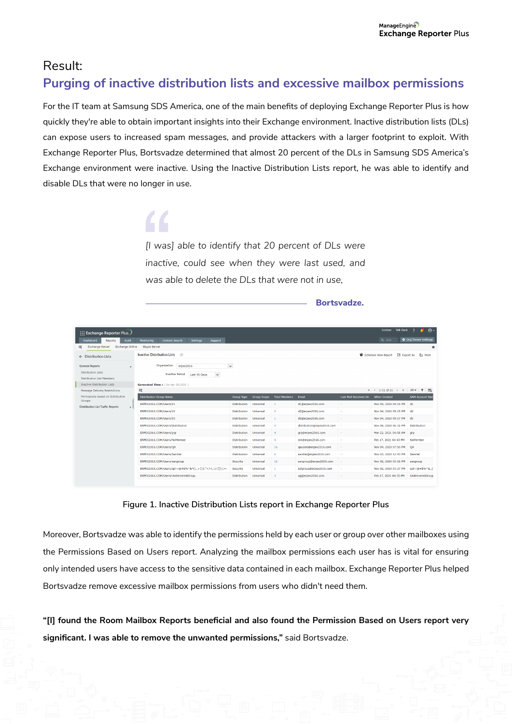## Result: **Purging of inactive distribution lists and excessive mailbox permissions**

For the IT team at Samsung SDS America, one of the main benefits of deploying Exchange Reporter Plus is how quickly they're able to obtain important insights into their Exchange environment. Inactive distribution lists (DLs) can expose users to increased spam messages, and provide attackers with a larger footprint to exploit. With Exchange Reporter Plus, Bortsvadze determined that almost 20 percent of the DLs in Samsung SDS America's Exchange environment were inactive. Using the Inactive Distribution Lists report, he was able to identify and disable DLs that were no longer in use.

> *[I was] able to identify that 20 percent of DLs were inactive, could see when they were last used, and was able to delete the DLs that were not in use,*

> > **Bortsvadze.**

|                                                                                                                               |                                                                                                                                         |                                                      |         |                     |                    |                      |                            |                       | License Talk Back              | $\overline{\phantom{a}}$    |  |  |
|-------------------------------------------------------------------------------------------------------------------------------|-----------------------------------------------------------------------------------------------------------------------------------------|------------------------------------------------------|---------|---------------------|--------------------|----------------------|----------------------------|-----------------------|--------------------------------|-----------------------------|--|--|
| Exchange Reporter Plus                                                                                                        |                                                                                                                                         |                                                      |         |                     |                    |                      |                            |                       |                                | $\theta$                    |  |  |
| Audit<br>Dashboard<br><b>Reports</b>                                                                                          | Monitoring                                                                                                                              | <b>Content Search</b><br><b>Settings</b>             | Support |                     |                    |                      |                            |                       | Q distr                        | <b>Conditional Settings</b> |  |  |
| <b>Exchange Online</b><br><b>Exchange Server</b><br>$\alpha$                                                                  | Skype Server                                                                                                                            |                                                      |         |                     |                    |                      |                            |                       |                                | ★                           |  |  |
| $\leftarrow$ Distribution Lists                                                                                               | <b>Inactive Distribution Lists</b>                                                                                                      | E Export As<br>Schedule New Report<br><b>Ex More</b> |         |                     |                    |                      |                            |                       |                                |                             |  |  |
| <b>General Reports</b><br><b>Distribution Lists</b><br><b>Distribution List Members</b><br><b>Inactive Distribution Lists</b> | $\checkmark$<br>Organization<br>erpex2016<br><b>Inactive Period</b><br>Last 90 Days<br>$\checkmark$<br>Generated Time: (On Apr 08,2021) |                                                      |         |                     |                    |                      |                            |                       |                                |                             |  |  |
| <b>Message Delivery Restrictions</b>                                                                                          | œ                                                                                                                                       |                                                      |         |                     |                    |                      |                            |                       | $\frac{1}{2}$ < 1-11 of 11 > > | $25 - 7$                    |  |  |
| Permissions based on Distribution<br>Groups<br><b>Distribution List Traffic Reports</b>                                       | <b>Distribution Group Name</b>                                                                                                          |                                                      |         | <b>Group Type</b>   | <b>Group Scope</b> | <b>Total Members</b> | Email                      | Last Mail Received On | When Created                   | <b>SAM Account Nan</b>      |  |  |
|                                                                                                                               | ERPEX2016.COM/Users/d1                                                                                                                  |                                                      |         | <b>Distribution</b> | Universal          | $\overline{1}$       | d1@erpex2016.com           | ٠                     | Nov 04, 2020 09:15 PM          | d1                          |  |  |
|                                                                                                                               | ERPEX2016.COM/Users/d2                                                                                                                  |                                                      |         | <b>Distribution</b> | Universal          | $\overline{2}$       | d2@erpex2016.com           | ٠                     | Nov 04, 2020 09:15 PM          | d2                          |  |  |
|                                                                                                                               | ERPEX2016.COM/Users/d3                                                                                                                  |                                                      |         | <b>Distribution</b> | Universal          | $\overline{1}$       | d3@erpex2016.com           | ٠                     | Nov 04, 2020 09:17 PM          | d3                          |  |  |
|                                                                                                                               | ERPEX2016.COM/Users/Distribution                                                                                                        |                                                      |         | Distribution        | Universal          | s                    | distribution@erpex2016.com |                       | Nov 04, 2020 06:32 PM          | <b>Distribution</b>         |  |  |
|                                                                                                                               | ERPEX2016.COM/Users/grp                                                                                                                 |                                                      |         | <b>Distribution</b> | Universal          | $\overline{4}$       | grp@erpex2016.com          | $\sim$                | Mar 22, 2021 04:58 AM          | arp                         |  |  |
|                                                                                                                               | ERPEX2016.COM/Users/NoMember                                                                                                            |                                                      |         | <b>Distribution</b> | Universal          | 5.                   | nm@erpex2016.com           | ×                     | Feb 17, 2021 04:43 PM          | NoMember                    |  |  |
|                                                                                                                               | ERPEX2016.COM/Users/QA                                                                                                                  |                                                      |         | <b>Distribution</b> | Universal          | 16                   | qausers@erpex2016.com      | ×                     | Nov 04, 2020 07:50 PM          | OA                          |  |  |
|                                                                                                                               | ERPEX2016.COM/Users/Sandist                                                                                                             |                                                      |         | <b>Distribution</b> | Universal          | 6                    | sandist@erpex2016.com      | ٠                     | Nov 03, 2020 12:43 PM          | Sandist                     |  |  |
|                                                                                                                               | ERPEX2016.COM/Users/sangroup                                                                                                            |                                                      |         | Security            | Universal          | 10                   | sangroup@erpex2016.com     | ×.                    | Nov 02, 2020 03:16 PM          | sangroup                    |  |  |
|                                                                                                                               | ERPEX2016.COM/Users/spl~1@#\$%^&*()_+{} :"<>?,.\/;'[]\\; =-                                                                             |                                                      |         | Security            | Universal          | $\mathbf{1}$         | splgroup@erpex2016.com     | $\sim$                | Nov 02, 2020 03:27 PM          | spl~(@#\$%^& ()             |  |  |
|                                                                                                                               | ERPEX2016.COM/Users/UndeliveredGroup                                                                                                    |                                                      |         | <b>Distribution</b> | Universal          | -3                   | ug@erpex2016.com           |                       | Feb 17, 2021 04:35 PM          | UndeliveredGroup            |  |  |

**Figure 1. Inactive Distribution Lists report in Exchange Reporter Plus**

Moreover, Bortsvadze was able to identify the permissions held by each user or group over other mailboxes using the Permissions Based on Users report. Analyzing the mailbox permissions each user has is vital for ensuring only intended users have access to the sensitive data contained in each mailbox. Exchange Reporter Plus helped Bortsvadze remove excessive mailbox permissions from users who didn't need them.

"[I] found the Room Mailbox Reports beneficial and also found the Permission Based on Users report very **significant. I was able to remove the unwanted permissions,"** said Bortsvadze.